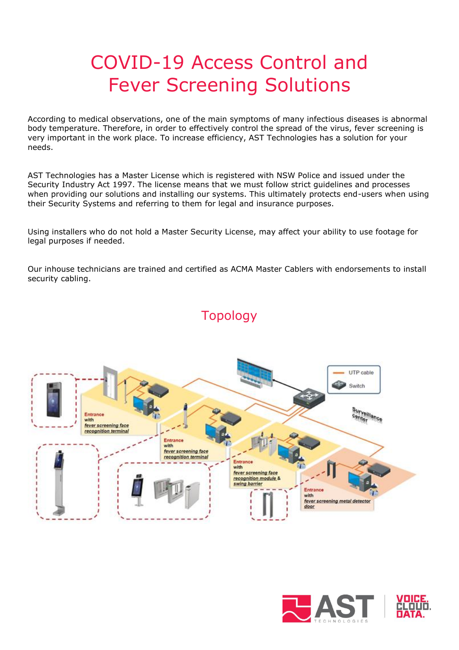# COVID-19 Access Control and Fever Screening Solutions

According to medical observations, one of the main symptoms of many infectious diseases is abnormal body temperature. Therefore, in order to effectively control the spread of the virus, fever screening is very important in the work place. To increase efficiency, AST Technologies has a solution for your needs.

AST Technologies has a Master License which is registered with NSW Police and issued under the Security Industry Act 1997. The license means that we must follow strict guidelines and processes when providing our solutions and installing our systems. This ultimately protects end-users when using their Security Systems and referring to them for legal and insurance purposes.

Using installers who do not hold a Master Security License, may affect your ability to use footage for legal purposes if needed.

Our inhouse technicians are trained and certified as ACMA Master Cablers with endorsements to install security cabling.



## Topology

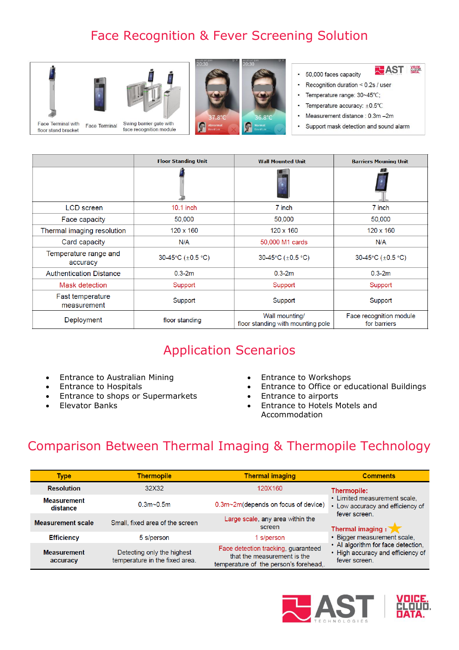# Face Recognition & Fever Screening Solution





- **RHAST &** · 50,000 faces capacity
- Recognition duration <  $0.2$ s / user
- $\bullet$ Temperature range: 30~45°C;
- Temperature accuracy:  $\pm 0.5^{\circ}$ C  $\bullet$
- Measurement distance : 0.3m -2m
- Support mask detection and sound alarm

|                                   | <b>Floor Standing Unit</b> | <b>Wall Mounted Unit</b>                            | <b>Barriers Mouning Unit</b>            |
|-----------------------------------|----------------------------|-----------------------------------------------------|-----------------------------------------|
|                                   |                            |                                                     |                                         |
| <b>LCD</b> screen                 | $10.1$ inch                | 7 inch                                              | 7 inch                                  |
| Face capacity                     | 50,000                     | 50,000                                              | 50,000                                  |
| Thermal imaging resolution        | $120 \times 160$           | $120 \times 160$                                    | $120 \times 160$                        |
| Card capacity                     | N/A                        | 50,000 M1 cards                                     | N/A                                     |
| Temperature range and<br>accuracy | 30-45°C (±0.5 °C)          | 30-45°C (±0.5 °C)                                   | 30-45°C $(\pm 0.5 °C)$                  |
| <b>Authentication Distance</b>    | $0.3 - 2m$                 | $0.3 - 2m$                                          | $0.3 - 2m$                              |
| Mask detection                    | Support                    | Support                                             | Support                                 |
| Fast temperature<br>measurement   | Support                    | Support                                             | Support                                 |
| Deployment                        | floor standing             | Wall mounting/<br>floor standing with mounting pole | Face recognition module<br>for barriers |

## Application Scenarios

- Entrance to Australian Mining Entrance to Workshops
- 
- Entrance to shops or Supermarkets Entrance to airports
- 
- 
- Entrance to Hospitals Entrance to Office or educational Buildings
	-
- Elevator Banks Entrance to Hotels Motels and Accommodation

#### Comparison Between Thermal Imaging & Thermopile Technology

| <b>Type</b>                    | <b>Thermopile</b>                                            | <b>Thermal imaging</b>                                                                                     | <b>Comments</b>                                                                                                                                                                                                                                  |
|--------------------------------|--------------------------------------------------------------|------------------------------------------------------------------------------------------------------------|--------------------------------------------------------------------------------------------------------------------------------------------------------------------------------------------------------------------------------------------------|
| <b>Resolution</b>              | 32X32                                                        | 120X160                                                                                                    | Thermopile:<br>• Limited measurement scale.<br>• Low accuracy and efficiency of<br>fever screen.<br>Thermal imaging :<br>• Bigger measurement scale,<br>• Al algorithm for face detection,<br>• High accuracy and efficiency of<br>fever screen. |
| <b>Measurement</b><br>distance | $0.3m$ - 0.5m                                                | 0.3m~2m(depends on focus of device)                                                                        |                                                                                                                                                                                                                                                  |
| <b>Measurement scale</b>       | Small, fixed area of the screen                              | Large scale, any area within the<br>screen                                                                 |                                                                                                                                                                                                                                                  |
| <b>Efficiency</b>              | 5 s/person                                                   | 1 s/person                                                                                                 |                                                                                                                                                                                                                                                  |
| <b>Measurement</b><br>accuracy | Detecting only the highest<br>temperature in the fixed area. | Face detection tracking, guaranteed<br>that the measurement is the<br>temperature of the person's forehead |                                                                                                                                                                                                                                                  |